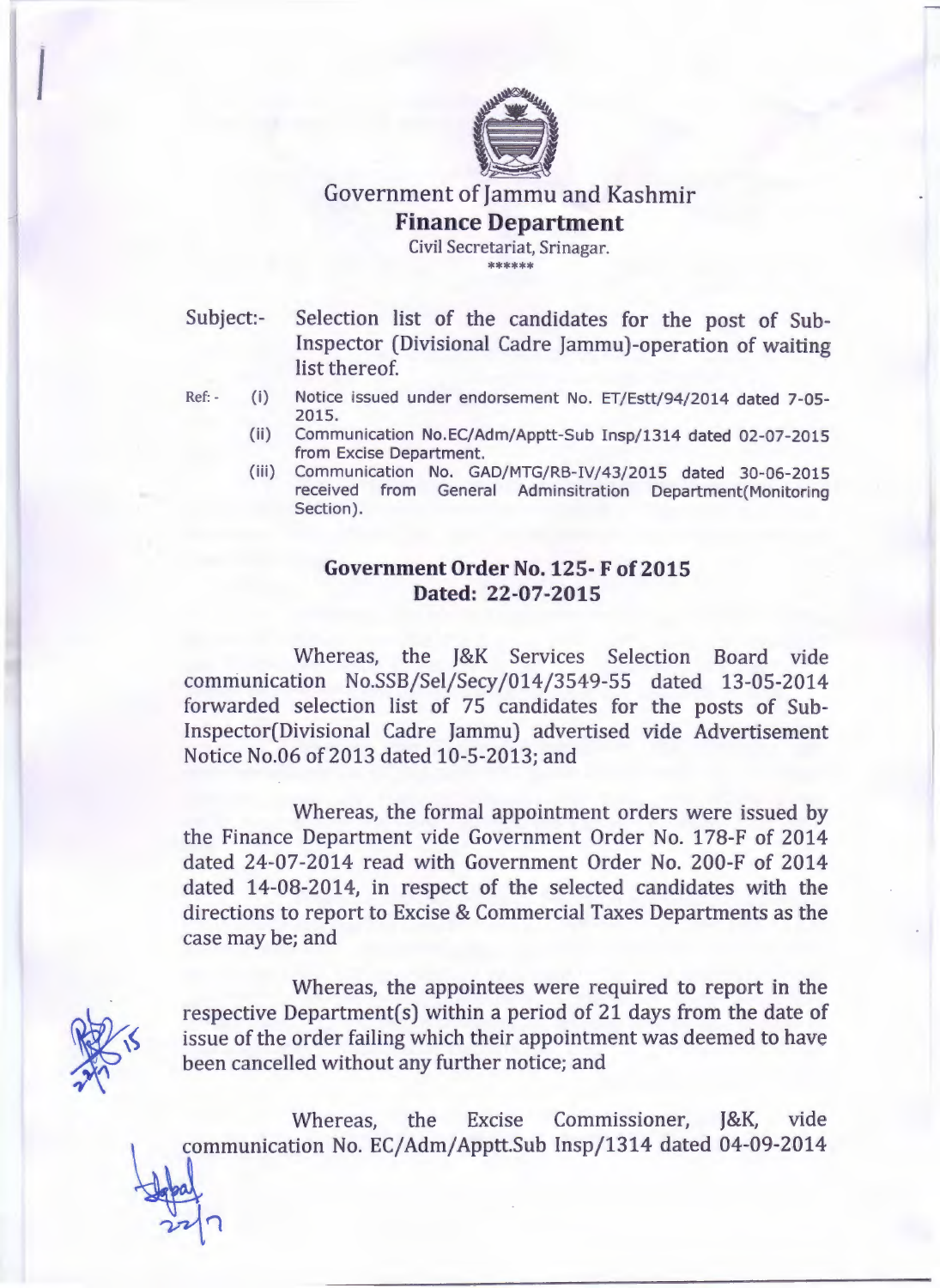

## Government of Jammu and Kashmir **Finance Department**

Civil Secretariat, Srinagar. \*\*\*\*\*

*I*

- Subject:- Selection list of the candidates for the post of Sub-Inspector (Divisional Cadre Jammu)-operation of waiting list thereof.
- Ref: (i) Notice issued under endorsement No. ET/Estt/94/2014 dated 7-05-2015.
	- (ii) Communication No.EC/Adm/Apptt-Sub Insp/1314 dated 02-07-2015 from Excise Department.
	- (iii) Communication No. GAD/MTG/RB-IV/43/2015 dated 30-06-2015 received from General Adminsitration Department(Monitoring Section).

## **Government Order** No. 125- **F of 2015 Dated:** 22-07-2015

Whereas, the J&K Services Selection Board vide communication No.SSB/Sel/Secy/014/3549-55 dated 13-05-2014 forwarded selection list of 75 candidates for the posts of Sub-Inspector(Divisional Cadre Jammu) advertised vide Advertisement Notice No.06 of 2013 dated 10-5-2013; and

Whereas, the formal appointment orders were issued by the Finance Department vide Government Order No. 178-F of 2014 dated 24-07-2014 read with Government Order No. 200-F of 2014 dated 14-08-2014, in respect of the selected candidates with the directions to report to Excise & Commercial Taxes Departments as the case may be; and

Whereas, the appointees were required to report in the respective Department(s) within a period of 21 days from the date of issue of the order failing which their appointment was deemed to have been cancelled without any further notice; and

Whereas, the Excise Commissioner, J&K, vide communication No. EC/Adm/Apptt.Sub Insp/1314 dated 04-09-2014

 $22$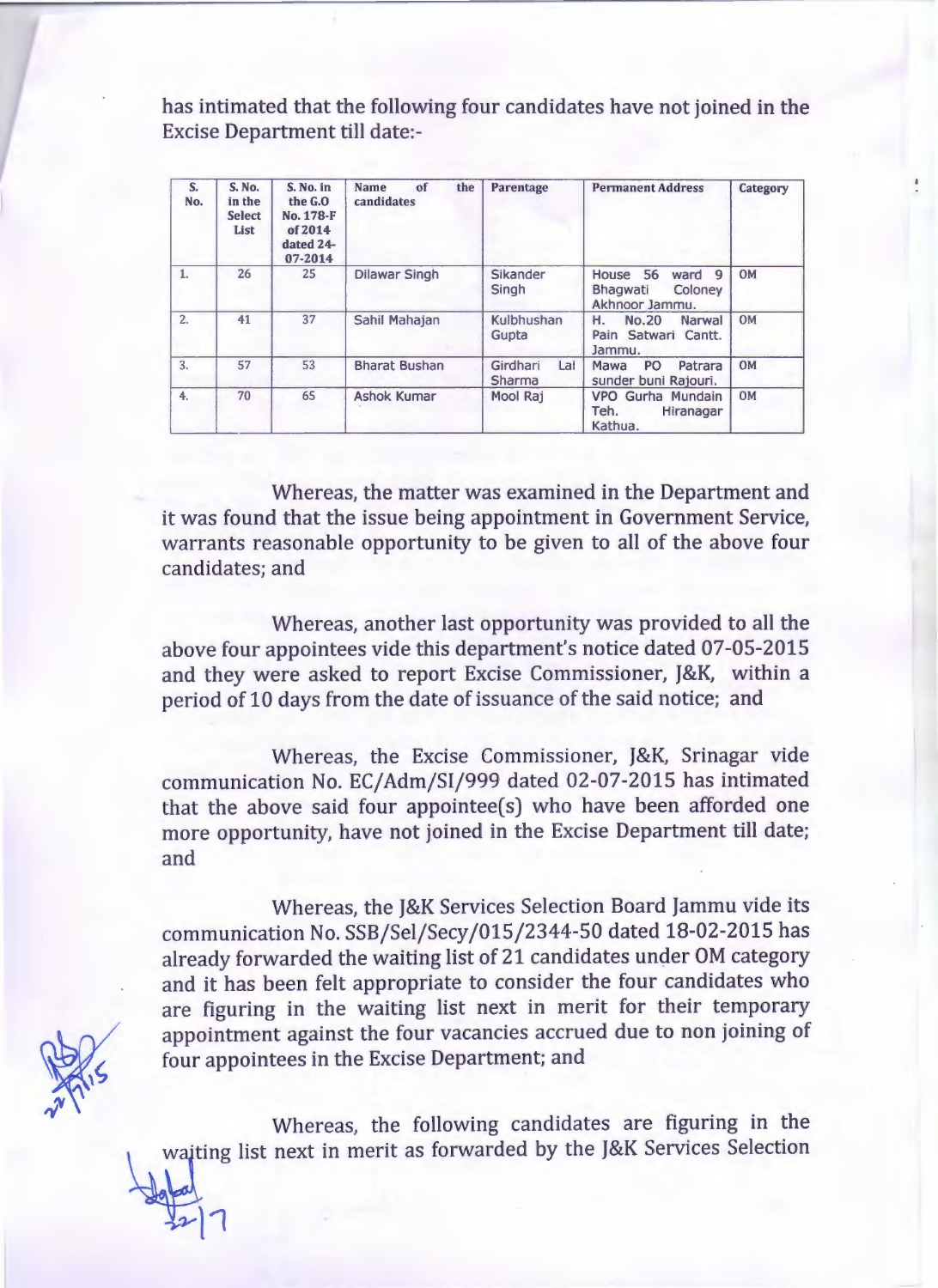has intimated that the following four candidates have not joined in the Excise Department till date:-

| S.<br>No. | S. No.<br>in the<br><b>Select</b><br>List | S. No. in<br>the G.O<br>No. 178-F<br>of 2014<br>dated 24-<br>07-2014 | Name<br>of<br>the<br>candidates | Parentage                 | <b>Permanent Address</b>                                              | Category  |
|-----------|-------------------------------------------|----------------------------------------------------------------------|---------------------------------|---------------------------|-----------------------------------------------------------------------|-----------|
| 1.        | 26                                        | 25                                                                   | <b>Dilawar Singh</b>            | Sikander<br>Singh         | House 56<br>9<br>ward<br>Coloney<br><b>Bhagwati</b><br>Akhnoor Jammu. | <b>OM</b> |
| 2.        | 41                                        | 37                                                                   | Sahil Mahajan                   | Kulbhushan<br>Gupta       | Н.<br><b>No.20</b><br>Narwal<br>Pain Satwari Cantt.<br>Jammu.         | <b>OM</b> |
| 3.        | 57                                        | 53                                                                   | <b>Bharat Bushan</b>            | Girdhari<br>Lal<br>Sharma | PO<br>Patrara<br>Mawa<br>sunder buni Rajouri.                         | <b>OM</b> |
| 4.        | 70                                        | 65                                                                   | <b>Ashok Kumar</b>              | Mool Raj                  | VPO Gurha Mundain<br>Teh.<br>Hiranagar<br>Kathua.                     | <b>OM</b> |

Whereas, the matter was examined in the Department and it was found that the issue being appointment in Government Service, warrants reasonable opportunity to be given to all of the above four candidates; and

Whereas, another last opportunity was provided to all the above four appointees vide this department's notice dated 07-05-2015 and they were asked to report Excise Commissioner, J&K, within a period of 10 days from the date of issuance of the said notice; and

Whereas, the Excise Commissioner, J&K, Srinagar vide communication No. EC/Adm/SI/999 dated 02-07-2015 has intimated that the above said four appointee(s) who have been afforded one more opportunity, have not joined in the Excise Department till date; and

Whereas, the J&K Services Selection Board Jammu vide its communication No. *SSBjSeljSecyj015j2344-50* dated 18-02-2015 has already forwarded the waiting list of 21 candidates under OM category and it has been felt appropriate to consider the four candidates who are figuring in the waiting list next in merit for their temporary appointment against the four vacancies accrued due to non joining of four appointees in the Excise Department; and

Whereas, the following candidates are figuring in the waiting list next in merit as forwarded by the J&K Services Selection

 $7 - 1 7$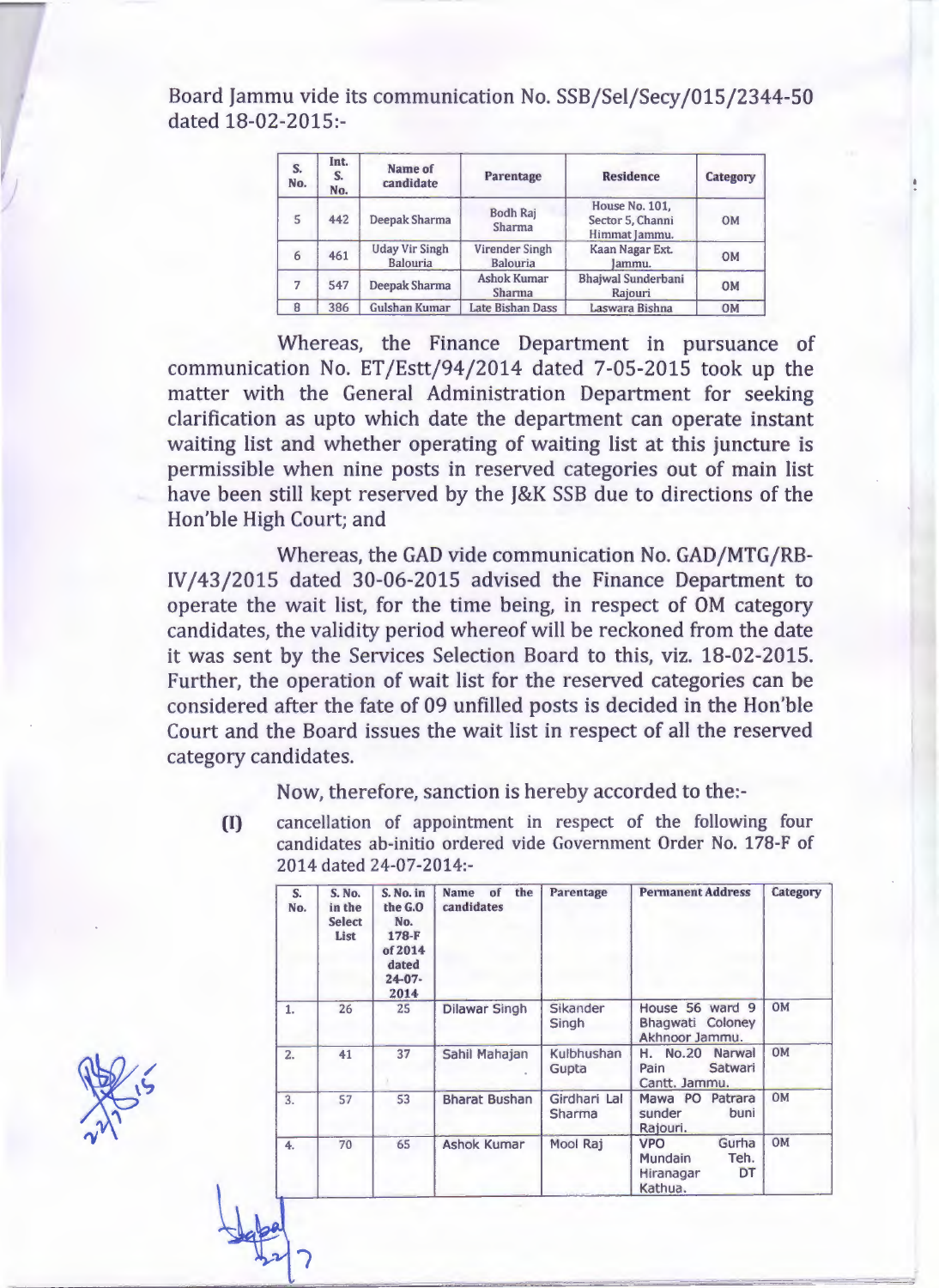Board Jammu vide its communication No. SSB/Sel/Secy/015/2344-50 dated 18-02-2015:-

| S.<br>No. | Int.<br>S.<br>No. | Name of<br>candidate                     | <b>Parentage</b>                    | <b>Residence</b>                                           | <b>Category</b> |
|-----------|-------------------|------------------------------------------|-------------------------------------|------------------------------------------------------------|-----------------|
| 5         | 442               | <b>Deepak Sharma</b>                     | <b>Bodh Raj</b><br>Sharma           | <b>House No. 101.</b><br>Sector 5, Channi<br>Himmat Jammu. | <b>OM</b>       |
| 6         | 461               | <b>Uday Vir Singh</b><br><b>Balouria</b> | Virender Singh<br><b>Balouria</b>   | Kaan Nagar Ext.<br>Jammu.                                  | <b>OM</b>       |
| 7         | 547               | <b>Deepak Sharma</b>                     | <b>Ashok Kumar</b><br><b>Sharma</b> | <b>Bhajwal Sunderbani</b><br>Rajouri                       | <b>OM</b>       |
| 8         | 386               | <b>Gulshan Kumar</b>                     | <b>Late Bishan Dass</b>             | Laswara Bishna                                             | <b>OM</b>       |

Whereas, the Finance Department in pursuance of communication No. ET/Estt/94/2014 dated 7-05-2015 took up the matter with the General Administration Department for seeking clarification as upto which date the department can operate instant waiting list and whether operating of waiting list at this juncture is permissible when nine posts in reserved categories out of main list have been still kept reserved by the J&K SSB due to directions of the Hon'ble High Court; and

Whereas, the GAD vide communication No. GAD/MTG/RB-IV/43/2015 dated 30-06-2015 advised the Finance Department to operate the wait list, for the time being, in respect of OM category candidates, the validity period whereof will be reckoned from the date it was sent by the Services Selection Board to this, viz. 18-02-2015. Further, the operation of wait list for the reserved categories can be considered after the fate of 09 unfilled posts is decided in the Hon'ble Court and the Board issues the wait list in respect of all the reserved category candidates.

Now, therefore, sanction is hereby accorded to the:-

**(I)** cancellation of appointment in respect of the following four candidates ab-initio ordered vide Government Order No. 178-F of 2014 dated 24-07-2014:-

| S.<br>No. | <b>S. No.</b><br>in the<br><b>Select</b><br>List | S. No. in<br>the G.O<br>No.<br>178-F<br>of 2014<br>dated<br>$24 - 07 -$<br>2014 | the<br><b>Name</b><br>of<br>candidates | Parentage              | <b>Permanent Address</b>                                                    | Category  |
|-----------|--------------------------------------------------|---------------------------------------------------------------------------------|----------------------------------------|------------------------|-----------------------------------------------------------------------------|-----------|
| 1.        | 26                                               | 25                                                                              | <b>Dilawar Singh</b>                   | Sikander<br>Singh      | House 56 ward 9<br><b>Bhagwati Coloney</b><br>Akhnoor Jammu.                | <b>OM</b> |
| 2.        | 41                                               | 37                                                                              | Sahil Mahajan                          | Kulbhushan<br>Gupta    | <b>No.20</b><br>Н.<br>Narwal<br>Satwari<br>Pain<br>Cantt. Jammu.            | <b>OM</b> |
| 3.        | 57                                               | 53                                                                              | <b>Bharat Bushan</b>                   | Girdhari Lal<br>Sharma | Mawa PO<br>Patrara<br>sunder<br>buni<br>Rajouri.                            | <b>OM</b> |
| 4.        | 70                                               | 65                                                                              | <b>Ashok Kumar</b>                     | Mool Raj               | Gurha<br><b>VPO</b><br>Teh.<br><b>Mundain</b><br>DT<br>Hiranagar<br>Kathua. | OM        |

~~

~~

- *~:v I*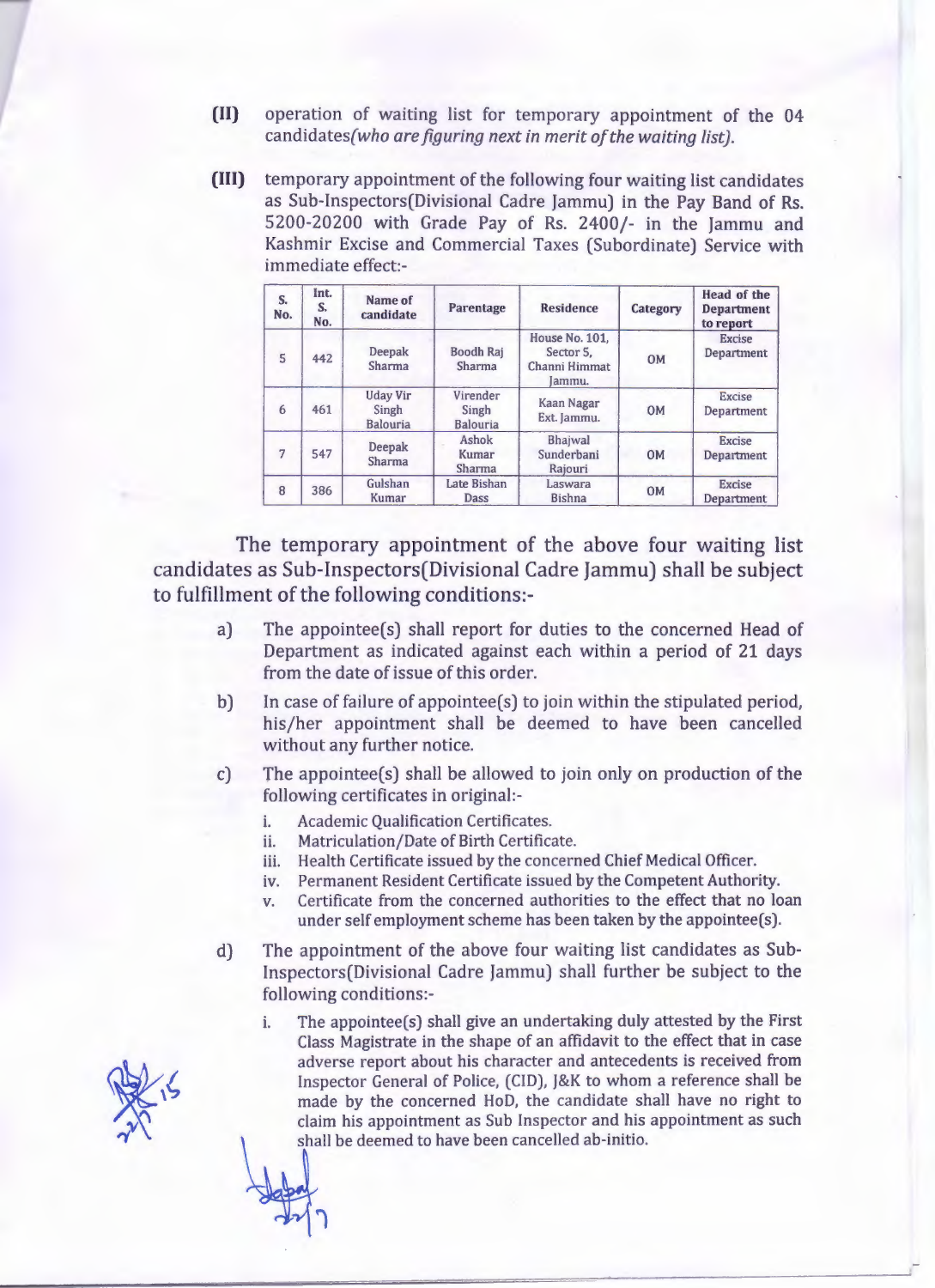- **(II)** operation of waiting list for temporary appointment of the 04 candidates(who *are figuring next in merit of the waiting list).*
- **(III)** temporary appointment of the following four waiting list candidates as Sub-Inspectors(Divisional Cadre Jammu) in the Pay Band of Rs. 5200-20200 with Grade Pay of Rs. 2400/- in the Jammu and Kashmir Excise and Commercial Taxes (Subordinate) Service with immediate effect:-

| S.<br>No. | Int.<br>S.<br>No. | Name of<br>candidate                        | Parentage                            | <b>Residence</b>                                       | Category  | <b>Head of the</b><br><b>Department</b><br>to report |
|-----------|-------------------|---------------------------------------------|--------------------------------------|--------------------------------------------------------|-----------|------------------------------------------------------|
| 5         | 442               | <b>Deepak</b><br>Sharma                     | <b>Boodh Raj</b><br>Sharma           | House No. 101.<br>Sector 5.<br>Channi Himmat<br>Jammu. | <b>OM</b> | <b>Excise</b><br>Department                          |
| 6         | 461               | <b>Uday Vir</b><br>Singh<br><b>Balouria</b> | Virender<br>Singh<br><b>Balouria</b> | Kaan Nagar<br>Ext. Jammu.                              | <b>OM</b> | <b>Excise</b><br>Department                          |
|           | 547               | Deepak<br>Sharma                            | Ashok<br>Kumar<br><b>Sharma</b>      | Bhajwal<br>Sunderbani<br>Rajouri                       | <b>OM</b> | <b>Excise</b><br>Department                          |
| 8         | 386               | Gulshan<br>Kumar                            | Late Bishan<br>Dass                  | Laswara<br><b>Bishna</b>                               | <b>OM</b> | <b>Excise</b><br>Department                          |

The temporary appointment of the above four waiting list candidates as Sub-Inspectors(Divisional Cadre Jammu) shall be subject to fulfillment of the following conditions:-

- a) The appointee(s) shall report for duties to the concerned Head of Department as indicated against each within a period of 21 days from the date of issue of this order.
- b) In case of failure of appointee(s) to join within the stipulated period, his/her appointment shall be deemed to have been cancelled without any further notice.
- The appointee(s) shall be allowed to join only on production of the following certificates in original: c)
	- i. Academic Qualification Certificates.
	- ii. Matriculation/Date of Birth Certificate.
	- iii. Health Certificate issued by the concerned Chief Medical Officer.
	- iv. Permanent Resident Certificate issued by the Competent Authority.
	- v. Certificate from the concerned authorities to the effect that no loan under self employment scheme has been taken by the appointee(s).
- The appointment of the above four waiting list candidates as Sub-Inspectors(Divisional Cadre Jammu) shall further be subject to the following conditions: d)
	- i. The appointee(s) shall give an undertaking duly attested by the First Class Magistrate in the shape of an affidavit to the effect that in case adverse report about his character and antecedents is received from Inspector General of Police, (CID), J&K to whom a reference shall be made by the concerned HoD, the candidate shall have no right to claim his appointment as Sub Inspector and his appointment as such shall be deemed to have been cancelled ab-initio.